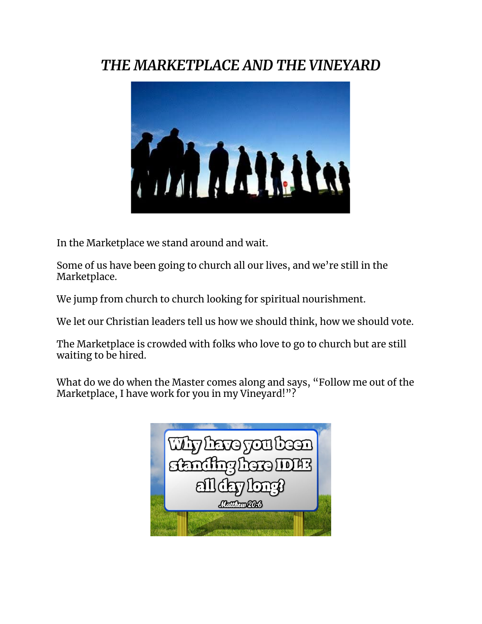## *THE MARKETPLACE AND THE VINEYARD*



In the Marketplace we stand around and wait.

Some of us have been going to church all our lives, and we're still in the Marketplace.

We jump from church to church looking for spiritual nourishment.

We let our Christian leaders tell us how we should think, how we should vote.

The Marketplace is crowded with folks who love to go to church but are still waiting to be hired.

What do we do when the Master comes along and says, "Follow me out of the Marketplace, I have work for you in my Vineyard!"?